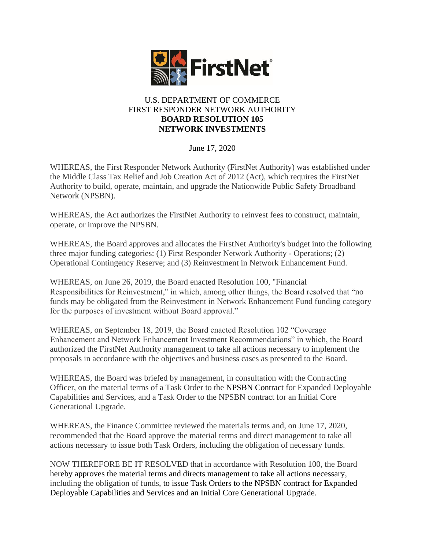

## U.S. DEPARTMENT OF COMMERCE FIRST RESPONDER NETWORK AUTHORITY **BOARD RESOLUTION 105 NETWORK INVESTMENTS**

June 17, 2020

WHEREAS, the First Responder Network Authority (FirstNet Authority) was established under the Middle Class Tax Relief and Job Creation Act of 2012 (Act), which requires the FirstNet Authority to build, operate, maintain, and upgrade the Nationwide Public Safety Broadband Network (NPSBN).

WHEREAS, the Act authorizes the FirstNet Authority to reinvest fees to construct, maintain, operate, or improve the NPSBN.

WHEREAS, the Board approves and allocates the FirstNet Authority's budget into the following three major funding categories: (1) First Responder Network Authority - Operations; (2) Operational Contingency Reserve; and (3) Reinvestment in Network Enhancement Fund.

WHEREAS, on June 26, 2019, the Board enacted Resolution 100, "Financial Responsibilities for Reinvestment," in which, among other things, the Board resolved that "no funds may be obligated from the Reinvestment in Network Enhancement Fund funding category for the purposes of investment without Board approval."

WHEREAS, on September 18, 2019, the Board enacted Resolution 102 "Coverage Enhancement and Network Enhancement Investment Recommendations" in which, the Board authorized the FirstNet Authority management to take all actions necessary to implement the proposals in accordance with the objectives and business cases as presented to the Board.

WHEREAS, the Board was briefed by management, in consultation with the Contracting Officer, on the material terms of a Task Order to the NPSBN Contract for Expanded Deployable Capabilities and Services, and a Task Order to the NPSBN contract for an Initial Core Generational Upgrade.

WHEREAS, the Finance Committee reviewed the materials terms and, on June 17, 2020, recommended that the Board approve the material terms and direct management to take all actions necessary to issue both Task Orders, including the obligation of necessary funds.

NOW THEREFORE BE IT RESOLVED that in accordance with Resolution 100, the Board hereby approves the material terms and directs management to take all actions necessary, including the obligation of funds, to issue Task Orders to the NPSBN contract for Expanded Deployable Capabilities and Services and an Initial Core Generational Upgrade.